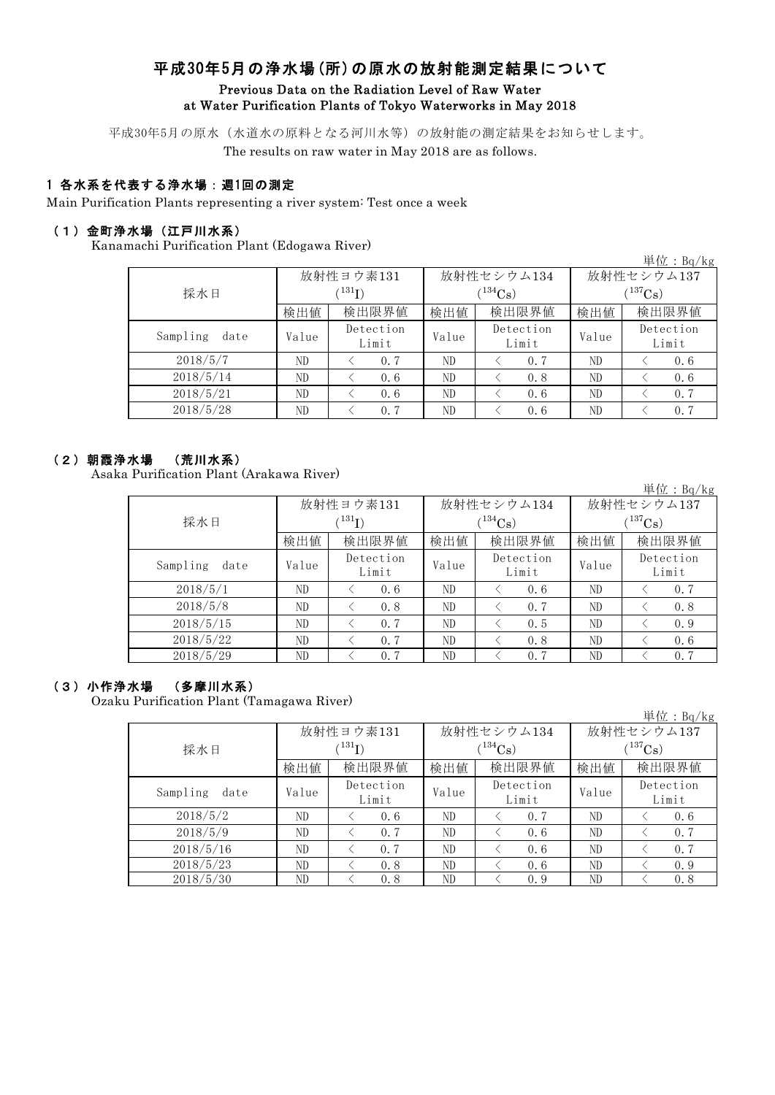# 平成30年5月の浄水場(所)の原水の放射能測定結果について Previous Data on the Radiation Level of Raw Water at Water Purification Plants of Tokyo Waterworks in May 2018

平成30年5月の原水(水道水の原料となる河川水等)の放射能の測定結果をお知らせします。

The results on raw water in May 2018 are as follows.

### 1 各水系を代表する浄水場:週1回の測定

Main Purification Plants representing a river system: Test once a week

### (1)金町浄水場(江戸川水系)

Kanamachi Purification Plant (Edogawa River)

| $\frac{1}{2}$    |       |                    |       |                    |              | 単位: $Bq/kg$        |  |
|------------------|-------|--------------------|-------|--------------------|--------------|--------------------|--|
|                  |       | 放射性ヨウ素131          |       | 放射性セシウム134         | 放射性セシウム137   |                    |  |
| 採水日              |       | $^{131}I)$         |       | $(134)$ Cs         | $(^{137}Cs)$ |                    |  |
|                  | 検出値   | 検出限界値              | 検出値   | 検出限界値              | 検出値          | 検出限界値              |  |
| Sampling<br>date | Value | Detection<br>Limit | Value | Detection<br>Limit | Value        | Detection<br>Limit |  |
| 2018/5/7         | ND    | 0.7                | ND    | 0.7                | ND           | 0.6                |  |
| 2018/5/14        | ND    | 0.6                | ND    | 0.8                | ND           | 0.6                |  |
| 2018/5/21        | ND    | 0.6                | ND    | 0.6                | ND           | 0.7                |  |
| 2018/5/28        | ND.   | 0.7                | ND    | 0.6                | ND           | 0.7                |  |

### (2)朝霞浄水場 (荒川水系)

Asaka Purification Plant (Arakawa River)

単位:Bq/kg

|                  |       | 放射性ヨウ素131          |       | 放射性セシウム134         | 放射性セシウム137   |                    |  |
|------------------|-------|--------------------|-------|--------------------|--------------|--------------------|--|
| 採水日              |       | $^{131}$ I)        |       | $(134)$ Cs         | $(^{137}Cs)$ |                    |  |
|                  | 検出値   | 検出限界値              | 検出値   | 検出限界値              | 検出値          | 検出限界値              |  |
| Sampling<br>date | Value | Detection<br>Limit | Value | Detection<br>Limit | Value        | Detection<br>Limit |  |
| 2018/5/1         | ND    | 0.6                | ND    | 0.6                | ND           | 0, 7               |  |
| 2018/5/8         | ND    | 0.8                | ND    | 0.7                | ND.          | 0.8                |  |
| 2018/5/15        | ND.   | 0.7                | ND    | 0.5                | ND           | 0.9                |  |
| 2018/5/22        | ND    | 0.7                | ND    | 0.8                | ND           | 0.6                |  |
| 2018/5/29        | ND    | 0.7                | ND    | 0.7                | ND           | 0.7                |  |

### (3)小作浄水場 (多摩川水系)

Ozaku Purification Plant (Tamagawa River)

|                  |             |           |       |               |             | 単位: $Bq/kg$ |  |
|------------------|-------------|-----------|-------|---------------|-------------|-------------|--|
|                  |             | 放射性ヨウ素131 |       | 放射性セシウム134    |             | 放射性セシウム137  |  |
| 採水日              | $^{131}$ I) |           |       | $1^{134}Cs$ ) | $(137)$ Cs) |             |  |
|                  | 検出値         | 検出限界値     | 検出値   | 検出限界値         | 検出値         | 検出限界値       |  |
| Sampling<br>date | Value       | Detection | Value | Detection     | Value       | Detection   |  |
|                  |             | Limit     |       | Limit         |             | Limit       |  |
| 2018/5/2         | ND          | 0.6       | ND    | 0.7           | ND          | 0.6         |  |
| 2018/5/9         | ND          | 0.7       | ND    | 0.6           | ND          | 0.7         |  |
| 2018/5/16        | ND          | 0.7       | ND    | 0.6           | ND          | 0.7         |  |
| 2018/5/23        | ND          | 0.8       | ND    | 0.6           | ND          | 0.9         |  |
| 2018/5/30        | ND          | 0.8       | ND    | 0.9           | ND          | 0.8         |  |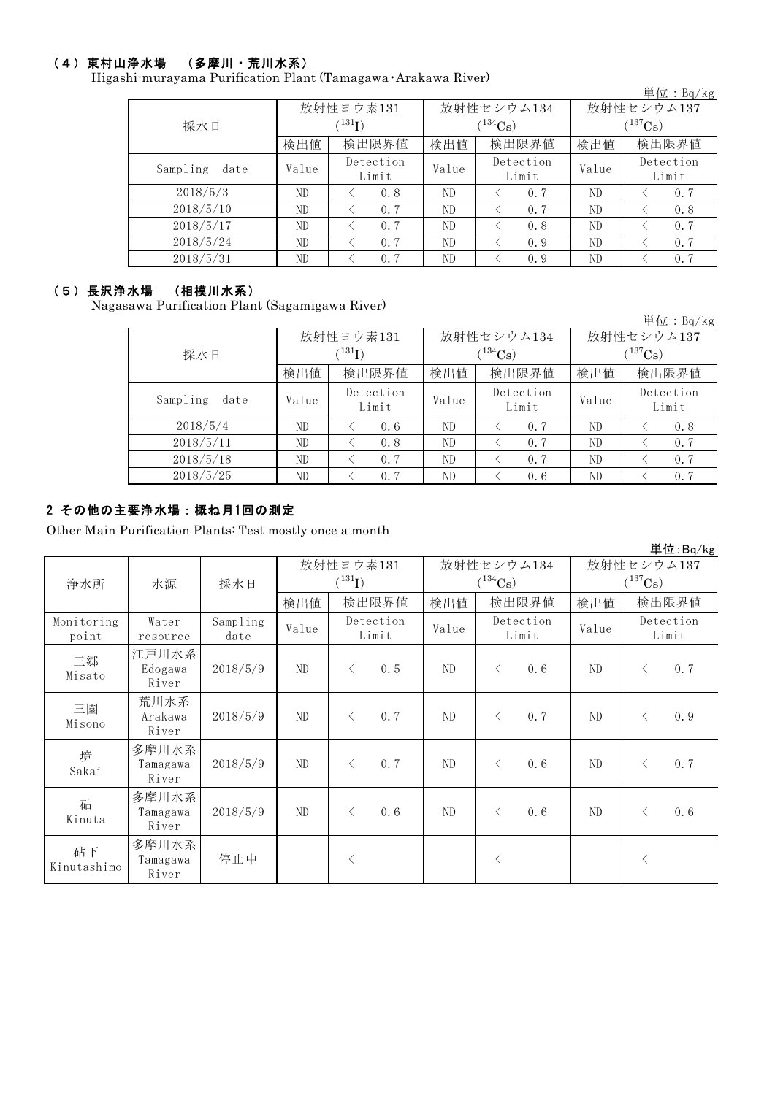### (4)東村山浄水場 (多摩川・荒川水系)

Higashi-murayama Purification Plant (Tamagawa・Arakawa River)

| $\mathbf{m}$ marayama 1 aminyawon 1 iain (1 ama $\mathbf{a}$ wa 4 inanawa ituvci) |       |                    |            |                    |              | 単位: $Bq/kg$        |  |
|-----------------------------------------------------------------------------------|-------|--------------------|------------|--------------------|--------------|--------------------|--|
|                                                                                   |       | 放射性ヨウ素131          |            | 放射性セシウム134         | 放射性セシウム137   |                    |  |
| 採水日                                                                               |       | $^{131}$ I)        | $(134)$ Cs |                    | $(^{137}Cs)$ |                    |  |
|                                                                                   | 検出値   | 検出限界値              | 検出値        | 検出限界値              | 検出値          | 検出限界値              |  |
| Sampling<br>date                                                                  | Value | Detection<br>Limit | Value      | Detection<br>Limit | Value        | Detection<br>Limit |  |
| 2018/5/3                                                                          | ND.   | 0.8                | ND         | 0.7                | ND           | 0.7                |  |
| 2018/5/10                                                                         | ND    | 0.7                | ND         | 0.7                | ND           | 0.8                |  |
| 2018/5/17                                                                         | ND.   | 0.7                | ND         | 0.8                | ND           | 0.7                |  |
| 2018/5/24                                                                         | ND.   | 0.7                | ND.        | 0.9                | ND           | 0.7                |  |
| 2018/5/31                                                                         | ND    | 0.7                | ND         | 0.9                | ND           | 0.7                |  |

### (5)長沢浄水場 (相模川水系)

Nagasawa Purification Plant (Sagamigawa River)

|                  |       |                          |       |                    |              | 単位: $Bq/kg$        |  |
|------------------|-------|--------------------------|-------|--------------------|--------------|--------------------|--|
|                  |       | 放射性ヨウ素131                |       | 放射性セシウム134         | 放射性セシウム137   |                    |  |
| 採水日              |       | $^{\prime\,131}{\rm I})$ |       | $(134)$ Cs)        | $(^{137}Cs)$ |                    |  |
|                  | 検出値   | 検出限界値                    | 検出値   | 検出限界値              | 検出値          | 検出限界値              |  |
| Sampling<br>date | Value | Detection<br>Limit       | Value | Detection<br>Limit | Value        | Detection<br>Limit |  |
| 2018/5/4         | ND    | 0.6                      | ND    | 0.7                | ND           | 0.8                |  |
| 2018/5/11        | ND    | 0.8                      | ND    | 0.7                | ND           | 0, 7               |  |
| 2018/5/18        | ND.   | 0.7                      | ND    | 0.7                | ND           | 0.7                |  |
| 2018/5/25        | ND    | 0.7                      | ND    | 0.6                | ND           | 0.7                |  |

## 2 その他の主要浄水場:概ね月1回の測定

Other Main Purification Plants: Test mostly once a month

|                     |                            |                  |           |                        |            |                |                    |            |       |              | 単位:Bq/kg           |
|---------------------|----------------------------|------------------|-----------|------------------------|------------|----------------|--------------------|------------|-------|--------------|--------------------|
|                     |                            |                  | 放射性ヨウ素131 |                        | 放射性セシウム134 |                |                    | 放射性セシウム137 |       |              |                    |
| 浄水所                 | 水源                         | 採水日              |           | $({}^{131}\mathrm{I})$ |            |                | $(^{134}Cs)$       |            |       | $(^{137}Cs)$ |                    |
|                     |                            |                  | 検出値       | 検出限界値                  |            | 検出値            | 検出限界値              |            | 検出値   |              | 検出限界値              |
| Monitoring<br>point | Water<br>resource          | Sampling<br>date | Value     | Detection<br>Limit     |            | Value          | Detection<br>Limit |            | Value |              | Detection<br>Limit |
| 三郷<br>Misato        | 江戸川水系<br>Edogawa<br>River  | 2018/5/9         | ND        | $\langle$              | 0.5        | ND             | $\langle$          | 0.6        | ND    | $\lt$        | 0.7                |
| 三園<br>Misono        | 荒川水系<br>Arakawa<br>River   | 2018/5/9         | ND        | $\langle$              | 0.7        | ND             | $\langle$          | 0.7        | ND    | $\langle$    | 0.9                |
| 境<br>Sakai          | 多摩川水系<br>Tamagawa<br>River | 2018/5/9         | ND        | $\langle$              | 0, 7       | ND             | $\langle$          | 0.6        | ND    | $\langle$    | 0.7                |
| 砧<br>Kinuta         | 多摩川水系<br>Tamagawa<br>River | 2018/5/9         | ND        | $\langle$              | 0.6        | N <sub>D</sub> | $\langle$          | 0.6        | ND    | $\langle$    | 0.6                |
| 砧下<br>Kinutashimo   | 多摩川水系<br>Tamagawa<br>River | 停止中              |           | $\langle$              |            |                | $\langle$          |            |       | $\langle$    |                    |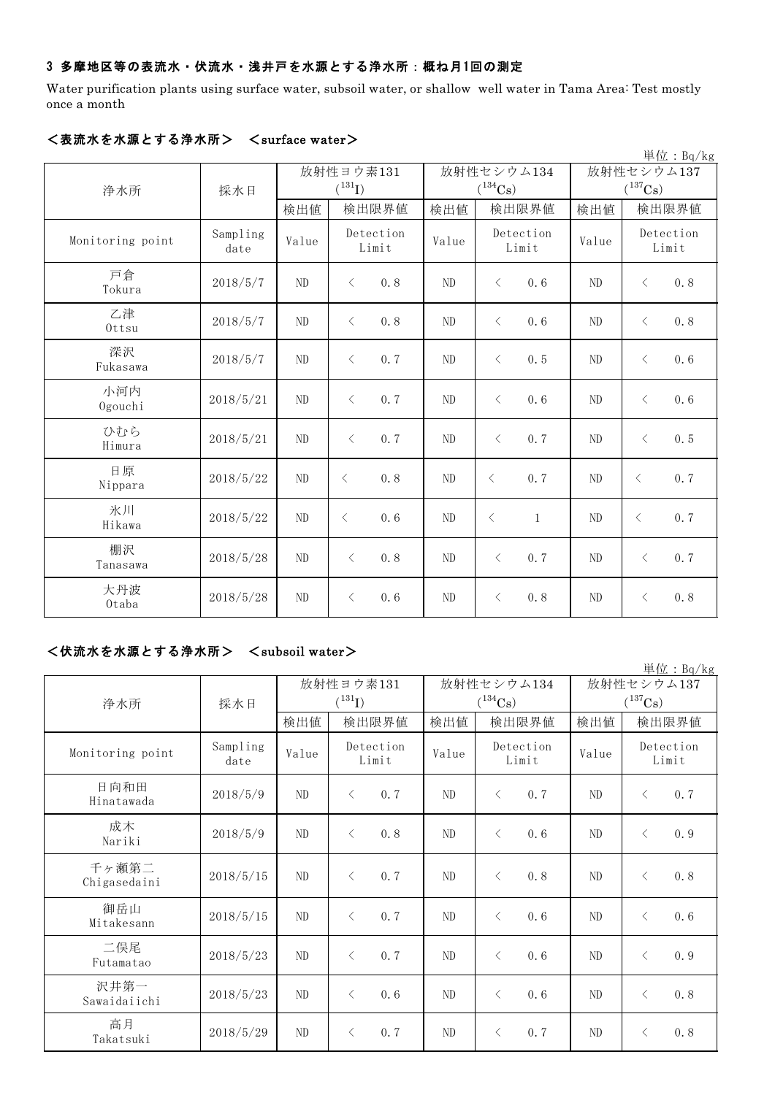### 3 多摩地区等の表流水・伏流水・浅井戸を水源とする浄水所:概ね月1回の測定

Water purification plants using surface water, subsoil water, or shallow well water in Tama Area: Test mostly once a month

| <b>ヽᅠᆳ</b> ᇭᇧ a <del>ハ</del> ᄴᄃ , 。 , , |                  |          |                         |                |                           |       | 単位: $Bq/kg$           |  |
|-----------------------------------------|------------------|----------|-------------------------|----------------|---------------------------|-------|-----------------------|--|
|                                         |                  |          | 放射性ヨウ素131<br>放射性セシウム134 |                |                           |       | 放射性セシウム137            |  |
| 浄水所                                     | 採水日              |          | $({}^{131}\text{I})$    |                | $(^{134}\mathrm{Cs})$     |       | $(^{137}\mathrm{Cs})$ |  |
|                                         |                  | 検出値      | 検出限界値                   | 検出値            | 検出限界値                     | 検出値   | 検出限界値                 |  |
| Monitoring point                        | Sampling<br>date | Value    | Detection<br>Limit      | Value          | Detection<br>Limit        | Value | Detection<br>Limit    |  |
| 戸倉<br>Tokura                            | 2018/5/7         | ND       | 0.8<br>$\langle$        | ND             | 0.6<br>$\langle$          | ND    | 0.8<br>$\langle$      |  |
| 乙津<br>Ottsu                             | 2018/5/7         | ND       | 0.8<br>$\langle$        | ND             | $\langle$<br>0.6          | ND    | 0.8<br>$\langle$      |  |
| 深沢<br>Fukasawa                          | 2018/5/7         | ND       | 0.7<br>$\langle$        | N <sub>D</sub> | $\lt$<br>0.5              | ND    | 0.6<br>$\lt$          |  |
| 小河内<br>Ogouchi                          | 2018/5/21        | ND       | $\langle$<br>0.7        | ND             | $\langle$<br>0.6          | ND    | 0.6<br>$\langle$      |  |
| ひむら<br>Himura                           | 2018/5/21        | ND       | 0.7<br>$\langle$        | ND             | 0.7<br>$\langle$          | ND    | 0.5<br>$\langle$      |  |
| 日原<br>Nippara                           | 2018/5/22        | ND       | 0.8<br>$\langle$        | ND             | 0.7<br>$\langle$          | ND    | 0.7<br>$\langle$      |  |
| 氷川<br>Hikawa                            | 2018/5/22        | ND       | 0.6<br>$\langle$        | ND             | $\langle$<br>$\mathbf{1}$ | ND    | 0.7<br>$\lt$          |  |
| 棚沢<br>Tanasawa                          | 2018/5/28        | ND       | 0.8<br>$\langle$        | ND             | 0.7<br>$\langle$          | ND    | 0.7<br>$\lt$          |  |
| 大丹波<br>Otaba                            | 2018/5/28        | $\rm ND$ | $\langle$<br>0.6        | ND             | $\langle$<br>0.8          | ND    | 0.8<br>$\langle$      |  |

#### <表流水を水源とする浄水所> <surface water>

## <伏流水を水源とする浄水所> <subsoil water>

|                       |                  |       |                    |                |                    |       | 単位: $Bq/kg$           |
|-----------------------|------------------|-------|--------------------|----------------|--------------------|-------|-----------------------|
|                       |                  |       | 放射性ヨウ素131          |                | 放射性セシウム134         |       | 放射性セシウム137            |
| 浄水所                   | 採水日              |       | $(^{131}I)$        |                | $(^{134}Cs)$       |       | $(^{137}\mathrm{Cs})$ |
|                       |                  | 検出値   | 検出限界値              | 検出値            | 検出限界値              | 検出値   | 検出限界値                 |
| Monitoring point      | Sampling<br>date | Value | Detection<br>Limit | Value          | Detection<br>Limit | Value | Detection<br>Limit    |
| 日向和田<br>Hinatawada    | 2018/5/9         | ND    | $\langle$<br>0.7   | ND             | 0.7<br>$\lt$       | ND    | 0.7<br>$\lt$          |
| 成木<br>Nariki          | 2018/5/9         | ND    | 0.8<br>$\langle$   | ND             | $\langle$<br>0.6   | ND    | 0.9<br>$\lt$          |
| 千ヶ瀬第二<br>Chigasedaini | 2018/5/15        | ND    | $\langle$<br>0.7   | N <sub>D</sub> | 0.8<br>$\langle$   | ND    | 0.8<br>$\langle$      |
| 御岳山<br>Mitakesann     | 2018/5/15        | ND    | $\langle$<br>0.7   | ND             | $\langle$<br>0.6   | ND    | 0.6<br>$\langle$      |
| 二俣尾<br>Futamatao      | 2018/5/23        | ND    | 0.7<br>$\lt$       | ND             | $\lt$<br>0.6       | ND    | 0.9<br>$\lt$          |
| 沢井第一<br>Sawaidaiichi  | 2018/5/23        | ND    | $\langle$<br>0.6   | ND             | $\langle$<br>0.6   | ND    | 0.8<br>$\langle$      |
| 高月<br>Takatsuki       | 2018/5/29        | ND    | $\langle$<br>0.7   | ND             | $\lt$<br>0.7       | ND    | 0.8<br>$\lt$          |